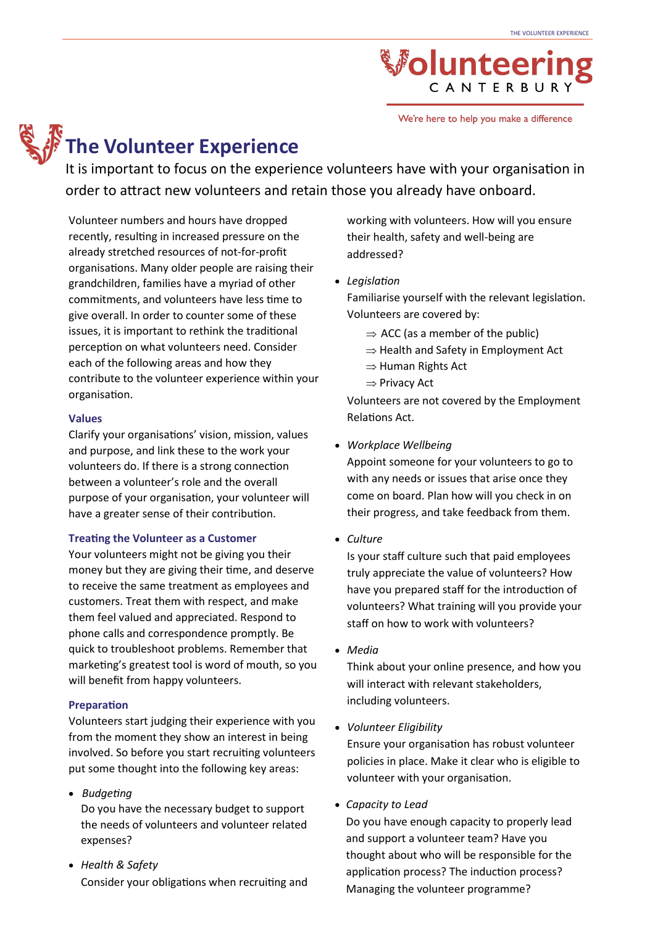We're here to help you make a difference

### **The Volunteer Experience**

It is important to focus on the experience volunteers have with your organisation in order to attract new volunteers and retain those you already have onboard.

Volunteer numbers and hours have dropped recently, resulting in increased pressure on the already stretched resources of not-for-profit organisations. Many older people are raising their grandchildren, families have a myriad of other commitments, and volunteers have less time to give overall. In order to counter some of these issues, it is important to rethink the traditional perception on what volunteers need. Consider each of the following areas and how they contribute to the volunteer experience within your organisation.

#### **Values**

Clarify your organisations' vision, mission, values and purpose, and link these to the work your volunteers do. If there is a strong connection between a volunteer's role and the overall purpose of your organisation, your volunteer will have a greater sense of their contribution.

#### **Treating the Volunteer as a Customer**

Your volunteers might not be giving you their money but they are giving their time, and deserve to receive the same treatment as employees and customers. Treat them with respect, and make them feel valued and appreciated. Respond to phone calls and correspondence promptly. Be quick to troubleshoot problems. Remember that marketing's greatest tool is word of mouth, so you will benefit from happy volunteers.

#### **Preparation**

Volunteers start judging their experience with you from the moment they show an interest in being involved. So before you start recruiting volunteers put some thought into the following key areas:

- *Budgeting* Do you have the necessary budget to support the needs of volunteers and volunteer related expenses?
- *Health & Safety* Consider your obligations when recruiting and

working with volunteers. How will you ensure their health, safety and well-being are addressed?

• *Legislation*

Familiarise yourself with the relevant legislation. Volunteers are covered by:

- $\Rightarrow$  ACC (as a member of the public)
- $\Rightarrow$  Health and Safety in Employment Act
- $\Rightarrow$  Human Rights Act
- $\Rightarrow$  Privacy Act

Volunteers are not covered by the Employment Relations Act.

• *Workplace Wellbeing*

Appoint someone for your volunteers to go to with any needs or issues that arise once they come on board. Plan how will you check in on their progress, and take feedback from them.

• *Culture*

Is your staff culture such that paid employees truly appreciate the value of volunteers? How have you prepared staff for the introduction of volunteers? What training will you provide your staff on how to work with volunteers?

• *Media*

Think about your online presence, and how you will interact with relevant stakeholders, including volunteers.

• *Volunteer Eligibility*

Ensure your organisation has robust volunteer policies in place. Make it clear who is eligible to volunteer with your organisation.

• *Capacity to Lead*

Do you have enough capacity to properly lead and support a volunteer team? Have you thought about who will be responsible for the application process? The induction process? Managing the volunteer programme?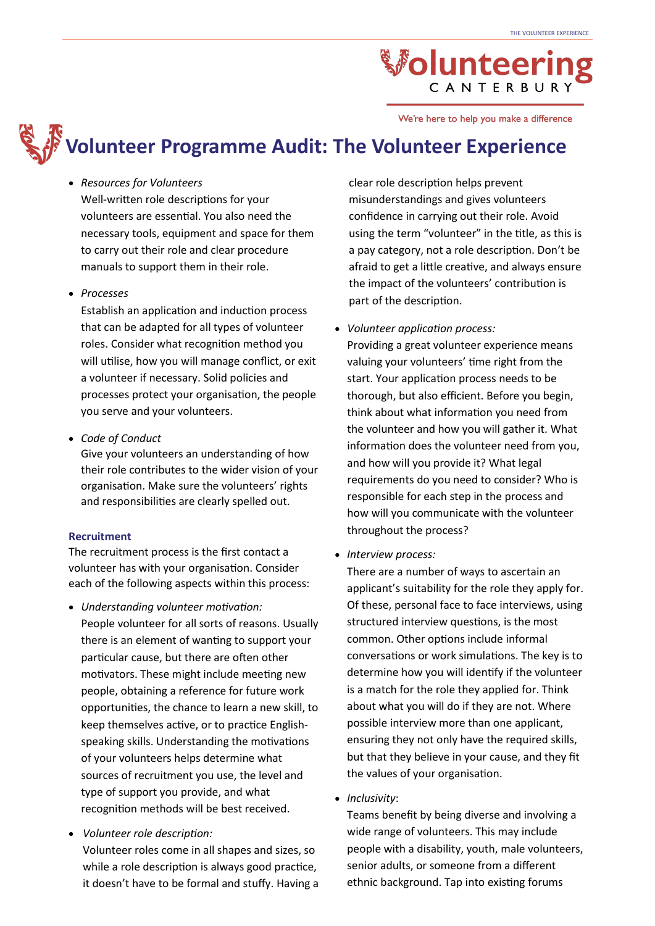We're here to help you make a difference

### **Volunteer Programme Audit: The Volunteer Experience**

#### • *Resources for Volunteers*

Well-written role descriptions for your volunteers are essential. You also need the necessary tools, equipment and space for them to carry out their role and clear procedure manuals to support them in their role.

• *Processes*

Establish an application and induction process that can be adapted for all types of volunteer roles. Consider what recognition method you will utilise, how you will manage conflict, or exit a volunteer if necessary. Solid policies and processes protect your organisation, the people you serve and your volunteers.

• *Code of Conduct*

Give your volunteers an understanding of how their role contributes to the wider vision of your organisation. Make sure the volunteers' rights and responsibilities are clearly spelled out.

#### **Recruitment**

The recruitment process is the first contact a volunteer has with your organisation. Consider each of the following aspects within this process:

- *Understanding volunteer motivation:* People volunteer for all sorts of reasons. Usually there is an element of wanting to support your particular cause, but there are often other motivators. These might include meeting new people, obtaining a reference for future work opportunities, the chance to learn a new skill, to keep themselves active, or to practice Englishspeaking skills. Understanding the motivations of your volunteers helps determine what sources of recruitment you use, the level and type of support you provide, and what recognition methods will be best received.
- *Volunteer role description:* Volunteer roles come in all shapes and sizes, so while a role description is always good practice, it doesn't have to be formal and stuffy. Having a

clear role description helps prevent misunderstandings and gives volunteers confidence in carrying out their role. Avoid using the term "volunteer" in the title, as this is a pay category, not a role description. Don't be afraid to get a little creative, and always ensure the impact of the volunteers' contribution is part of the description.

• *Volunteer application process:*

Providing a great volunteer experience means valuing your volunteers' time right from the start. Your application process needs to be thorough, but also efficient. Before you begin, think about what information you need from the volunteer and how you will gather it. What information does the volunteer need from you, and how will you provide it? What legal requirements do you need to consider? Who is responsible for each step in the process and how will you communicate with the volunteer throughout the process?

• *Interview process:* 

There are a number of ways to ascertain an applicant's suitability for the role they apply for. Of these, personal face to face interviews, using structured interview questions, is the most common. Other options include informal conversations or work simulations. The key is to determine how you will identify if the volunteer is a match for the role they applied for. Think about what you will do if they are not. Where possible interview more than one applicant, ensuring they not only have the required skills, but that they believe in your cause, and they fit the values of your organisation.

• *Inclusivity*:

Teams benefit by being diverse and involving a wide range of volunteers. This may include people with a disability, youth, male volunteers, senior adults, or someone from a different ethnic background. Tap into existing forums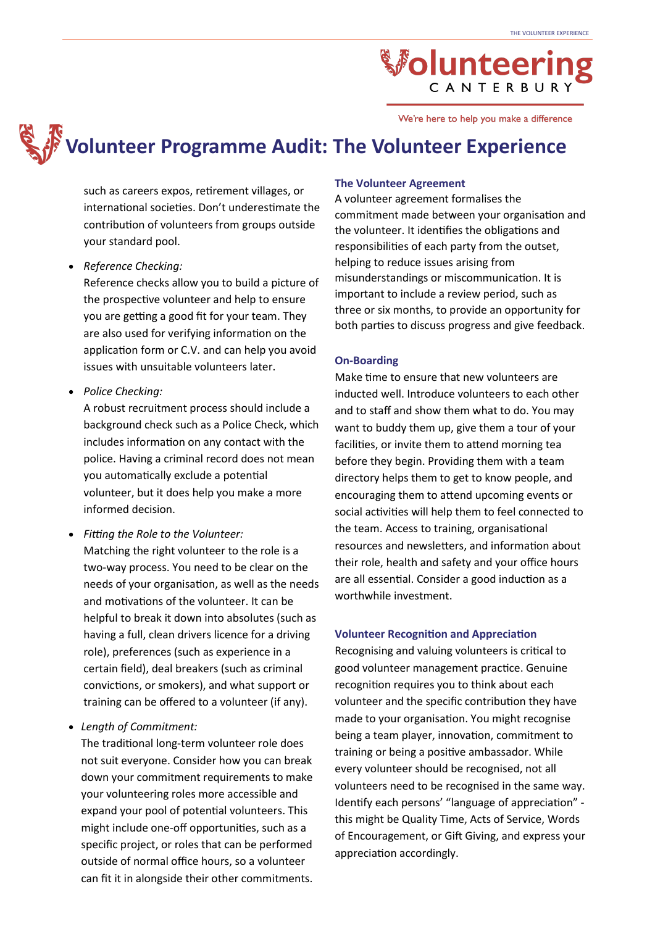We're here to help you make a difference

### **Volunteer Programme Audit: The Volunteer Experience**

such as careers expos, retirement villages, or international societies. Don't underestimate the contribution of volunteers from groups outside your standard pool.

#### • *Reference Checking:*

Reference checks allow you to build a picture of the prospective volunteer and help to ensure you are getting a good fit for your team. They are also used for verifying information on the application form or C.V. and can help you avoid issues with unsuitable volunteers later.

• *Police Checking:*

A robust recruitment process should include a background check such as a Police Check, which includes information on any contact with the police. Having a criminal record does not mean you automatically exclude a potential volunteer, but it does help you make a more informed decision.

• *Fitting the Role to the Volunteer:* Matching the right volunteer to the role is a two-way process. You need to be clear on the needs of your organisation, as well as the needs and motivations of the volunteer. It can be helpful to break it down into absolutes (such as having a full, clean drivers licence for a driving role), preferences (such as experience in a certain field), deal breakers (such as criminal convictions, or smokers), and what support or training can be offered to a volunteer (if any).

#### • *Length of Commitment:*

The traditional long-term volunteer role does not suit everyone. Consider how you can break down your commitment requirements to make your volunteering roles more accessible and expand your pool of potential volunteers. This might include one-off opportunities, such as a specific project, or roles that can be performed outside of normal office hours, so a volunteer can fit it in alongside their other commitments.

#### **The Volunteer Agreement**

A volunteer agreement formalises the commitment made between your organisation and the volunteer. It identifies the obligations and responsibilities of each party from the outset, helping to reduce issues arising from misunderstandings or miscommunication. It is important to include a review period, such as three or six months, to provide an opportunity for both parties to discuss progress and give feedback.

#### **On-Boarding**

Make time to ensure that new volunteers are inducted well. Introduce volunteers to each other and to staff and show them what to do. You may want to buddy them up, give them a tour of your facilities, or invite them to attend morning tea before they begin. Providing them with a team directory helps them to get to know people, and encouraging them to attend upcoming events or social activities will help them to feel connected to the team. Access to training, organisational resources and newsletters, and information about their role, health and safety and your office hours are all essential. Consider a good induction as a worthwhile investment.

#### **Volunteer Recognition and Appreciation**

Recognising and valuing volunteers is critical to good volunteer management practice. Genuine recognition requires you to think about each volunteer and the specific contribution they have made to your organisation. You might recognise being a team player, innovation, commitment to training or being a positive ambassador. While every volunteer should be recognised, not all volunteers need to be recognised in the same way. Identify each persons' "language of appreciation" this might be Quality Time, Acts of Service, Words of Encouragement, or Gift Giving, and express your appreciation accordingly.